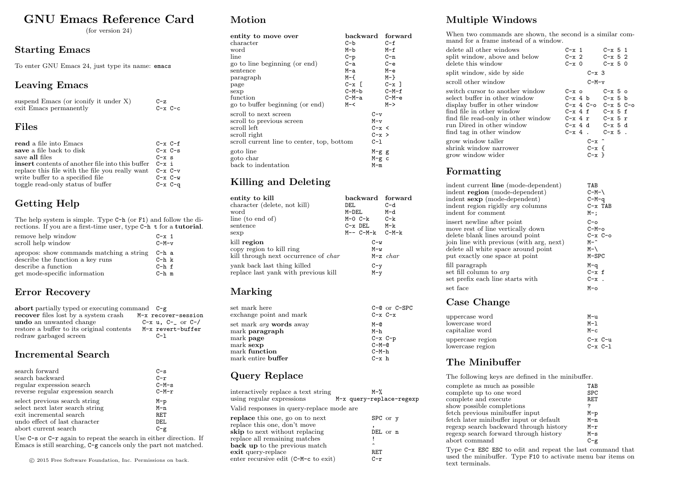# GNU Emacs Reference Card

(for version 24)

#### Starting Emacs

To enter GNU Emacs 24, just type its name: emacs

### Leaving Emacs

| suspend Emacs (or iconify it under $X$ ) | $C-z$       |
|------------------------------------------|-------------|
| exit Emacs permanently                   | $C-x$ $C-c$ |
|                                          |             |

### Files

| read a file into Emacs                                  | $C-x$ $C-f$   |
|---------------------------------------------------------|---------------|
| save a file back to disk                                | $C-x$ $C-s$   |
| save all files                                          | $C - x$ s     |
| <b>insert</b> contents of another file into this buffer | $C - x$ i     |
| replace this file with the file you really want         | $C-x$ $C-v$   |
| write buffer to a specified file                        | $C - x C - w$ |
| toggle read-only status of buffer                       | $C-x$ $C-q$   |

### Getting Help

The help system is simple. Type C-h (or F1) and follow the directions. If you are a first-time user, type C-h t for a tutorial.

| remove help window                       | $C - x$ 1            |
|------------------------------------------|----------------------|
| scroll help window                       | $C-M-v$              |
| apropos: show commands matching a string | C-h a                |
| describe the function a key runs         | $C-h$ $\,$ $\,$ $\,$ |
| describe a function                      | $C-h-f$              |
| get mode-specific information            | $C-h$ m              |

### Error Recovery

| abort partially typed or executing command $C-g$ |                              |
|--------------------------------------------------|------------------------------|
| recover files lost by a system crash             | M-x recover-session          |
| undo an unwanted change                          | $C-x$ u, $C-\$ or $C-\prime$ |
| restore a buffer to its original contents        | M-x revert-buffer            |
| redraw garbaged screen                           | $C-1$                        |

#### Incremental Search

| search forward                    | $C-S$   |
|-----------------------------------|---------|
| search backward                   | $C-r$   |
| regular expression search         | $C-M-s$ |
| reverse regular expression search | $C-M-r$ |
| select previous search string     | $M-p$   |
| select next later search string   | $M - n$ |
| exit incremental search           | RET     |
| undo effect of last character     | DEL.    |
| abort current search              | $C - g$ |

Use  $C-s$  or  $C-r$  again to repeat the search in either direction. If Emacs is still searching, C-g cancels only the part not matched.

### Motion

| entity to move over                        | backward         |           | forward   |
|--------------------------------------------|------------------|-----------|-----------|
| character                                  | $C - b$          |           | $C - f$   |
| word                                       | M-b              |           | M-f       |
| line                                       | $C-p$            |           | C-n       |
| go to line beginning (or end)              | C-a              |           | $C - e$   |
| sentence                                   | M-a              |           | $M-e$     |
| paragraph                                  | M-f              |           | $M - \}$  |
| page                                       | $C - x$ $\Gamma$ |           | $C - x$ 1 |
| sexp                                       | C-M-b            |           | $C-M-f$   |
| function                                   | C-M-a            |           | $C-M-e$   |
| go to buffer beginning (or end)            | $M - <$          |           | M->       |
| scroll to next screen                      |                  | $C-v$     |           |
| scroll to previous screen                  |                  | $M-v$     |           |
| scroll left                                |                  | $C - x <$ |           |
| scroll right                               |                  | $C - x >$ |           |
| scroll current line to center, top, bottom |                  | $C-1$     |           |
| goto line                                  |                  | $M-g$ g   |           |
| goto char                                  |                  | $M-g$ c   |           |
| back to indentation                        |                  | $M-m$     |           |
|                                            |                  |           |           |

### Killing and Deleting

| entity to kill<br>character (delete, not kill)<br>word<br>line (to end of)<br>sentence<br>sexp                                                                | backward forward<br>DEL<br>M-DEL<br>$M-O C-k$<br>$C-x$ DEL<br>$M-- C-M-k$ $C-M-k$ | $C-d$<br>M-d<br>$C-k$<br>M-k |
|---------------------------------------------------------------------------------------------------------------------------------------------------------------|-----------------------------------------------------------------------------------|------------------------------|
| kill region<br>copy region to kill ring<br>kill through next occurrence of <i>char</i><br>yank back last thing killed<br>replace last yank with previous kill | $C-w$<br>$M-w$<br>$C-y$<br>$M - v$                                                | $M-z$ char                   |

### Marking

| set mark here<br>exchange point and mark  | $C-C$ or $C-SPC$<br>$C-x$ $C-x$ |
|-------------------------------------------|---------------------------------|
| set mark <i>arq</i> words away            | $M-Q$                           |
| mark <b>paragraph</b><br>mark <b>page</b> | M-h<br>$C-x$ $C-p$              |
| mark sexp                                 | $C-M-Q$                         |
| ${\rm mark\ function}$                    | $C-M-h$                         |
| mark entire <b>buffer</b>                 | $C - x h$                       |

### Query Replace

| interactively replace a text string<br>using regular expressions                                                                                                                                        | $M-\gamma$<br>M-x query-replace-regexp |
|---------------------------------------------------------------------------------------------------------------------------------------------------------------------------------------------------------|----------------------------------------|
| Valid responses in query-replace mode are                                                                                                                                                               |                                        |
| replace this one, go on to next<br>replace this one, don't move<br><b>skip</b> to next without replacing<br>replace all remaining matches<br><b>back up</b> to the previous match<br>exit query-replace | SPC or y<br>DEL or n<br>∽<br>RET       |
| enter recursive edit (C-M-c to exit)                                                                                                                                                                    | $C-r$                                  |

### Multiple Windows

When two commands are shown, the second is a similar command for a frame instead of a window.

| delete all other windows<br>split window, above and below<br>delete this window                                                                                                                                                 | $C - x$ 1<br>$C-x$ 2<br>$C - x = 0$                                                                                              | $C - x$ 5 1<br>$C - x$ 5 2<br>$C - x 5 0$                |
|---------------------------------------------------------------------------------------------------------------------------------------------------------------------------------------------------------------------------------|----------------------------------------------------------------------------------------------------------------------------------|----------------------------------------------------------|
| split window, side by side                                                                                                                                                                                                      | $C - x$ 3                                                                                                                        |                                                          |
| scroll other window                                                                                                                                                                                                             | $C-M-v$                                                                                                                          |                                                          |
| switch cursor to another window<br>select buffer in other window<br>display buffer in other window<br>find file in other window<br>find file read-only in other window<br>run Dired in other window<br>find tag in other window | $C - x$ o<br>$C-x$ 4 b $C-x$ 5 b<br>$C-x$ 4 f $C-x$ 5 f<br>$C-x$ 4 $r$ $C-x$ 5 $r$<br>$C-x$ 4 d $C-x$ 5 d<br>$C-x$ 4 . $C-x$ 5 . | $C - x$ 5 $\circ$<br>$C - x$ 4 $C - o$ $C - x$ 5 $C - o$ |
| grow window taller<br>shrink window narrower<br>grow window wider                                                                                                                                                               | $C - x$ $\sim$<br>$C - x$ f<br>$C - x$ }                                                                                         |                                                          |

### Formatting

| indent current line (mode-dependent)     | TAB           |
|------------------------------------------|---------------|
| indent region (mode-dependent)           | $C-M-\lambda$ |
| indent sexp (mode-dependent)             | $C-M-q$       |
| indent region rigidly <i>arg</i> columns | $C - x$ TAB   |
| indent for comment                       | $M-$ :        |
| insert newline after point               | $C - 0$       |
| move rest of line vertically down        | $C-M-o$       |
| delete blank lines around point          | $C - x C - o$ |
| join line with previous (with arg, next) | M-^           |
| delete all white space around point      | $M-\lambda$   |
| put exactly one space at point           | $M-SPC$       |
| fill paragraph                           | M-q           |
| set fill column to arg                   | $C - x$ f     |
| set prefix each line starts with         | $C - x$ .     |
| set face                                 | $M$ -0        |
|                                          |               |

#### Case Change

| uppercase word   | M-u           |
|------------------|---------------|
| lowercase word   | M-1           |
| capitalize word  | $M - c$       |
| uppercase region | $C - x C - u$ |
| lowercase region | $C - x C - 1$ |

#### The Minibuffer

The following keys are defined in the minibuffer.

| complete as much as possible                      | TAR        |
|---------------------------------------------------|------------|
| complete up to one word                           | <b>SPC</b> |
| complete and execute<br>show possible completions | RET<br>?   |
| fetch previous minibuffer input                   | $M-p$      |
| fetch later minibuffer input or default           | $M-n$      |
| regexp search backward through history            | $M-r$      |
| regexp search forward through history             | $M - S$    |
| abort command                                     | $C-\sigma$ |

Type C-x ESC ESC to edit and repeat the last command that used the minibuffer. Type F10 to activate menu bar items on text terminals.